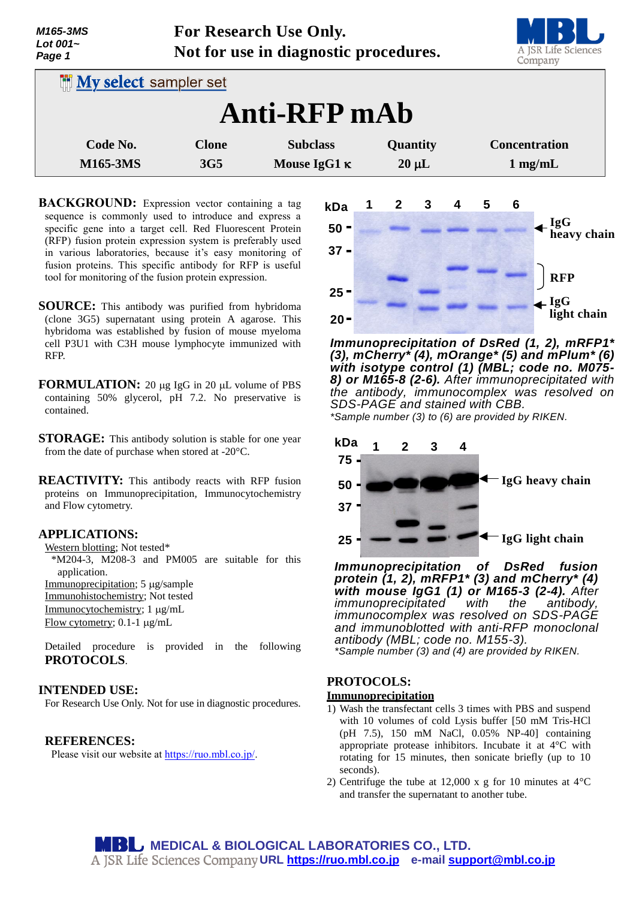| M165-3MS<br>Lot 001~<br>Page 1 | For Research Use Only.<br>Not for use in diagnostic procedures. |                                        |                        | A JSR Life Sciences<br>Company    |
|--------------------------------|-----------------------------------------------------------------|----------------------------------------|------------------------|-----------------------------------|
| <b>My select sampler set</b>   |                                                                 |                                        |                        |                                   |
|                                |                                                                 | Anti-RFP mAb                           |                        |                                   |
| Code No.<br><b>M165-3MS</b>    | <b>Clone</b><br>3G <sub>5</sub>                                 | <b>Subclass</b><br>Mouse IgG1 $\kappa$ | Quantity<br>$20 \mu L$ | <b>Concentration</b><br>$1$ mg/mL |

**BACKGROUND:** Expression vector containing a tag sequence is commonly used to introduce and express a specific gene into a target cell. Red Fluorescent Protein (RFP) fusion protein expression system is preferably used in various laboratories, because it's easy monitoring of fusion proteins. This specific antibody for RFP is useful tool for monitoring of the fusion protein expression.

- **SOURCE:** This antibody was purified from hybridoma (clone 3G5) supernatant using protein A agarose. This hybridoma was established by fusion of mouse myeloma cell P3U1 with C3H mouse lymphocyte immunized with RFP.
- **FORMULATION:** 20 µg IgG in 20 µL volume of PBS containing 50% glycerol, pH 7.2. No preservative is contained.
- **STORAGE:** This antibody solution is stable for one year from the date of purchase when stored at -20°C.
- **REACTIVITY:** This antibody reacts with RFP fusion proteins on Immunoprecipitation, Immunocytochemistry and Flow cytometry.

### **APPLICATIONS:**

Western blotting; Not tested\*

\*M204-3, M208-3 and PM005 are suitable for this application.

Immunoprecipitation; 5 µg/sample

Immunohistochemistry; Not tested Immunocytochemistry; 1 µg/mL

Flow cytometry; 0.1-1 µg/mL

Detailed procedure is provided in the following **PROTOCOLS**.

## **INTENDED USE:**

For Research Use Only. Not for use in diagnostic procedures.

## **REFERENCES:**

Please visit our website at [https://ruo.mbl.co.jp/.](https://ruo.mbl.co.jp/)



*Immunoprecipitation of DsRed (1, 2), mRFP1\* (3), mCherry\* (4), mOrange\* (5) and mPlum\* (6) with isotype control (1) (MBL; code no. M075- 8) or M165-8 (2-6). After immunoprecipitated with the antibody, immunocomplex was resolved on SDS-PAGE and stained with CBB.*



*Immunoprecipitation of DsRed fusion protein (1, 2), mRFP1\* (3) and mCherry\* (4) with mouse IgG1 (1) or M165-3 (2-4). After immunoprecipitated with the antibody, immunocomplex was resolved on SDS-PAGE and immunoblotted with anti-RFP monoclonal antibody (MBL; code no. M155-3). \*Sample number (3) and (4) are provided by RIKEN.*

# **PROTOCOLS:**

# **Immunoprecipitation**

- 1) Wash the transfectant cells 3 times with PBS and suspend with 10 volumes of cold Lysis buffer [50 mM Tris-HCl (pH 7.5), 150 mM NaCl, 0.05% NP-40] containing appropriate protease inhibitors. Incubate it at 4°C with rotating for 15 minutes, then sonicate briefly (up to 10 seconds).
- 2) Centrifuge the tube at 12,000 x g for 10 minutes at  $4^{\circ}$ C and transfer the supernatant to another tube.

**MEDICAL & BIOLOGICAL LABORATORIES CO., LTD. URL [https://ruo.mbl.co.jp](https://ruo.mbl.co.jp/) e-mail [support@mbl.co.jp](mailto:support@mbl.co.jp)**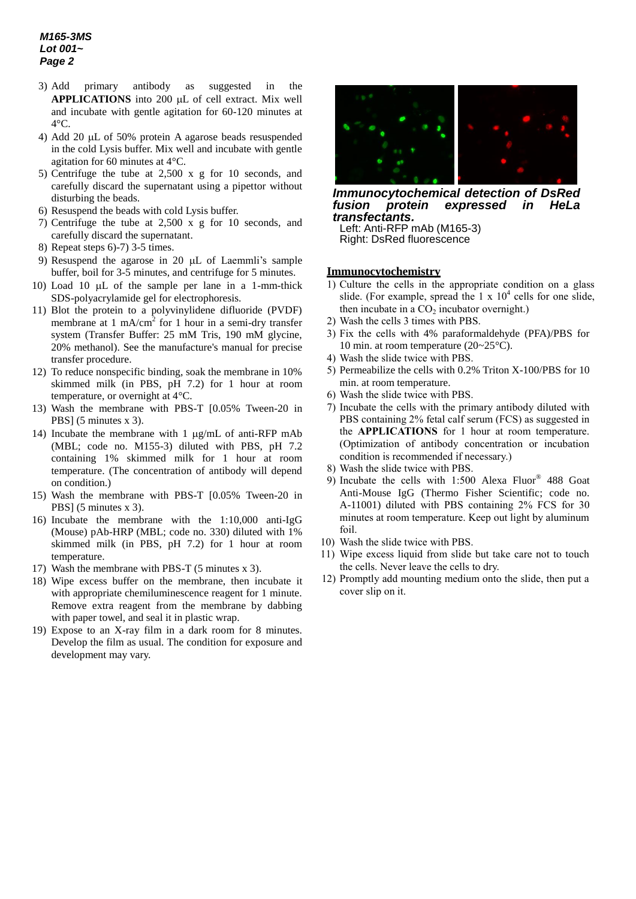- 3) Add primary antibody as suggested in the APPLICATIONS into 200 µL of cell extract. Mix well and incubate with gentle agitation for 60-120 minutes at 4°C.
- 4) Add 20  $\mu$ L of 50% protein A agarose beads resuspended in the cold Lysis buffer. Mix well and incubate with gentle agitation for 60 minutes at 4°C.
- 5) Centrifuge the tube at 2,500 x g for 10 seconds, and carefully discard the supernatant using a pipettor without disturbing the beads.
- 6) Resuspend the beads with cold Lysis buffer.
- 7) Centrifuge the tube at 2,500 x g for 10 seconds, and carefully discard the supernatant.
- 8) Repeat steps 6)-7) 3-5 times.
- 9) Resuspend the agarose in 20  $\mu$ L of Laemmli's sample buffer, boil for 3-5 minutes, and centrifuge for 5 minutes.
- 10) Load 10  $\mu$ L of the sample per lane in a 1-mm-thick SDS-polyacrylamide gel for electrophoresis.
- 11) Blot the protein to a polyvinylidene difluoride (PVDF) membrane at 1 mA/cm<sup>2</sup> for 1 hour in a semi-dry transfer system (Transfer Buffer: 25 mM Tris, 190 mM glycine, 20% methanol). See the manufacture's manual for precise transfer procedure.
- 12) To reduce nonspecific binding, soak the membrane in 10% skimmed milk (in PBS, pH 7.2) for 1 hour at room temperature, or overnight at 4°C.
- 13) Wash the membrane with PBS-T [0.05% Tween-20 in PBS] (5 minutes x 3).
- 14) Incubate the membrane with 1  $\mu$ g/mL of anti-RFP mAb (MBL; code no. M155-3) diluted with PBS, pH 7.2 containing 1% skimmed milk for 1 hour at room temperature. (The concentration of antibody will depend on condition.)
- 15) Wash the membrane with PBS-T [0.05% Tween-20 in PBS] (5 minutes x 3).
- 16) Incubate the membrane with the 1:10,000 anti-IgG (Mouse) pAb-HRP (MBL; code no. 330) diluted with 1% skimmed milk (in PBS, pH 7.2) for 1 hour at room temperature.
- 17) Wash the membrane with PBS-T (5 minutes x 3).
- 18) Wipe excess buffer on the membrane, then incubate it with appropriate chemiluminescence reagent for 1 minute. Remove extra reagent from the membrane by dabbing with paper towel, and seal it in plastic wrap.
- 19) Expose to an X-ray film in a dark room for 8 minutes. Develop the film as usual. The condition for exposure and development may vary.



*Immunocytochemical detection of DsRed fusion protein expressed in HeLa transfectants.*

Left: Anti-RFP mAb (M165-3) Right: DsRed fluorescence

#### **Immunocytochemistry**

- 1) Culture the cells in the appropriate condition on a glass slide. (For example, spread the  $1 \times 10^4$  cells for one slide, then incubate in a  $CO<sub>2</sub>$  incubator overnight.)
- 2) Wash the cells 3 times with PBS.
- 3) Fix the cells with 4% paraformaldehyde (PFA)/PBS for 10 min. at room temperature (20~25°C).
- 4) Wash the slide twice with PBS.
- 5) Permeabilize the cells with 0.2% Triton X-100/PBS for 10 min. at room temperature.
- 6) Wash the slide twice with PBS.
- 7) Incubate the cells with the primary antibody diluted with PBS containing 2% fetal calf serum (FCS) as suggested in the **APPLICATIONS** for 1 hour at room temperature. (Optimization of antibody concentration or incubation condition is recommended if necessary.)
- 8) Wash the slide twice with PBS.
- 9) Incubate the cells with 1:500 Alexa Fluor® 488 Goat Anti-Mouse IgG (Thermo Fisher Scientific; code no. A-11001) diluted with PBS containing 2% FCS for 30 minutes at room temperature. Keep out light by aluminum foil.
- 10) Wash the slide twice with PBS.
- 11) Wipe excess liquid from slide but take care not to touch the cells. Never leave the cells to dry.
- 12) Promptly add mounting medium onto the slide, then put a cover slip on it.